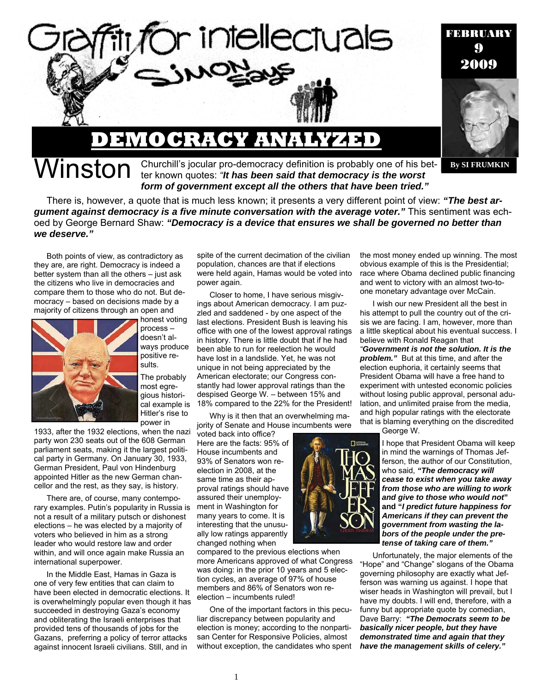

## DCRACY ANALY

Winston Churchill's jocular pro-democracy definition is probably one of his bet-<br>Winston ter known quotes: *"It has been said that democracy is the worst form of government except all the others that have been tried."* 

There is, however, a quote that is much less known; it presents a very different point of view: *"The best argument against democracy is a five minute conversation with the average voter."* This sentiment was echoed by George Bernard Shaw: *"Democracy is a device that ensures we shall be governed no better than we deserve."* 

Both points of view, as contradictory as they are, are right. Democracy is indeed a better system than all the others – just ask the citizens who live in democracies and compare them to those who do not. But democracy – based on decisions made by a majority of citizens through an open and



honest voting process – doesn't always produce positive results.

The probably most egregious historical example is Hitler's rise to power in

1933, after the 1932 elections, when the nazi party won 230 seats out of the 608 German parliament seats, making it the largest political party in Germany. On January 30, 1933, German President, Paul von Hindenburg appointed Hitler as the new German chancellor and the rest, as they say, is history.

There are, of course, many contemporary examples. Putin's popularity in Russia is not a result of a military putsch or dishonest elections – he was elected by a majority of voters who believed in him as a strong leader who would restore law and order within, and will once again make Russia an international superpower.

In the Middle East, Hamas in Gaza is one of very few entities that can claim to have been elected in democratic elections. It is overwhelmingly popular even though it has succeeded in destroying Gaza's economy and obliterating the Israeli enterprises that provided tens of thousands of jobs for the Gazans, preferring a policy of terror attacks against innocent Israeli civilians. Still, and in

spite of the current decimation of the civilian population, chances are that if elections were held again, Hamas would be voted into power again.

Closer to home, I have serious misgivings about American democracy. I am puzzled and saddened - by one aspect of the last elections. President Bush is leaving his office with one of the lowest approval ratings in history. There is little doubt that if he had been able to run for reelection he would have lost in a landslide. Yet, he was not unique in not being appreciated by the American electorate; our Congress constantly had lower approval ratings than the despised George W. – between 15% and 18% compared to the 22% for the President!

Why is it then that an overwhelming majority of Senate and House incumbents were

voted back into office? Here are the facts: 95% of House incumbents and 93% of Senators won reelection in 2008, at the same time as their approval ratings should have assured their unemployment in Washington for many years to come. It is interesting that the unusually low ratings apparently changed nothing when

compared to the previous elections when more Americans approved of what Congress was doing: in the prior 10 years and 5 election cycles, an average of 97% of house members and 86% of Senators won reelection – incumbents ruled!

One of the important factors in this peculiar discrepancy between popularity and election is money; according to the nonpartisan Center for Responsive Policies, almost without exception, the candidates who spent



the most money ended up winning. The most obvious example of this is the Presidential; race where Obama declined public financing and went to victory with an almost two-toone monetary advantage over McCain.

**By SI FRUMKIN**

I wish our new President all the best in his attempt to pull the country out of the crisis we are facing. I am, however, more than a little skeptical about his eventual success. I believe with Ronald Reagan that *"Government is not the solution. It is the problem."* But at this time, and after the election euphoria, it certainly seems that President Obama will have a free hand to experiment with untested economic policies without losing public approval, personal adulation, and unlimited praise from the media, and high popular ratings with the electorate that is blaming everything on the discredited

George W.

I hope that President Obama will keep in mind the warnings of Thomas Jefferson, the author of our Constitution, who said, *"The democracy will cease to exist when you take away from those who are willing to work and give to those who would not***" and "***I predict future happiness for Americans if they can prevent the government from wasting the labors of the people under the pretense of taking care of them."* 

Unfortunately, the major elements of the "Hope" and "Change" slogans of the Obama governing philosophy are exactly what Jefferson was warning us against. I hope that wiser heads in Washington will prevail, but I have my doubts. I will end, therefore, with a funny but appropriate quote by comedian, Dave Barry: *"The Democrats seem to be basically nicer people, but they have demonstrated time and again that they have the management skills of celery."*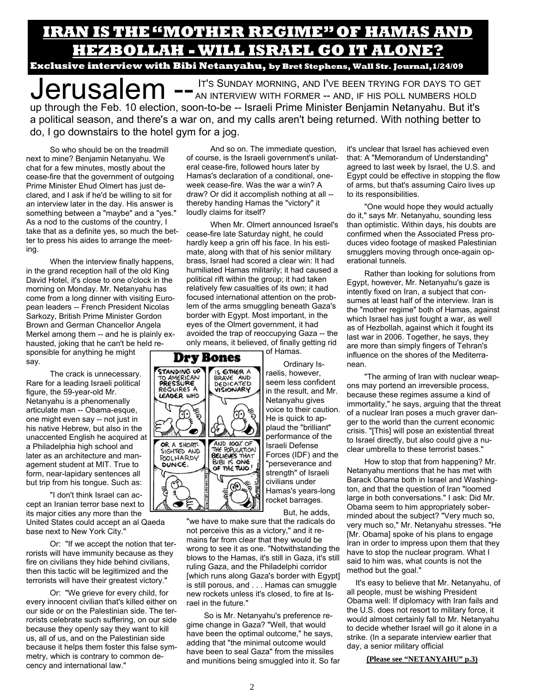### IS THE "MOTHER REGIME" OF HAMAS AND **HEZBOLLAH - WILL ISRAEL GO IT ALONE? Exclusive interview with Bibi Netanyahu, by Bret Stephens, Wall Str. Journal,1/24/09**

Jerusalem -- It's Sunday Morning, and I've been trying for days to get up through the Feb. 10 election, soon-to-be -- Israeli Prime Minister Benjamin Netanyahu. But it's a political season, and there's a war on, and my calls aren't being returned. With nothing better to do, I go downstairs to the hotel gym for a jog.

 So who should be on the treadmill next to mine? Benjamin Netanyahu. We chat for a few minutes, mostly about the cease-fire that the government of outgoing Prime Minister Ehud Olmert has just declared, and I ask if he'd be willing to sit for an interview later in the day. His answer is something between a "maybe" and a "yes." As a nod to the customs of the country, I take that as a definite yes, so much the better to press his aides to arrange the meeting.

 When the interview finally happens, in the grand reception hall of the old King David Hotel, it's close to one o'clock in the morning on Monday. Mr. Netanyahu has come from a long dinner with visiting European leaders -- French President Nicolas Sarkozy, British Prime Minister Gordon Brown and German Chancellor Angela Merkel among them -- and he is plainly exhausted, joking that he can't be held responsible for anything he might say.

 The crack is unnecessary. Rare for a leading Israeli political figure, the 59-year-old Mr. Netanyahu is a phenomenally articulate man -- Obama-esque, one might even say -- not just in his native Hebrew, but also in the unaccented English he acquired at a Philadelphia high school and later as an architecture and management student at MIT. True to form, near-lapidary sentences all but trip from his tongue. Such as:

 "I don't think Israel can accept an Iranian terror base next to its major cities any more than the United States could accept an al Qaeda base next to New York City."

 Or: "If we accept the notion that terrorists will have immunity because as they fire on civilians they hide behind civilians, then this tactic will be legitimized and the terrorists will have their greatest victory."

 Or: "We grieve for every child, for every innocent civilian that's killed either on our side or on the Palestinian side. The terrorists celebrate such suffering, on our side because they openly say they want to kill us, all of us, and on the Palestinian side because it helps them foster this false symmetry, which is contrary to common decency and international law."

 And so on. The immediate question, of course, is the Israeli government's unilateral cease-fire, followed hours later by Hamas's declaration of a conditional, oneweek cease-fire. Was the war a win? A draw? Or did it accomplish nothing at all - thereby handing Hamas the "victory" it loudly claims for itself?

 When Mr. Olmert announced Israel's cease-fire late Saturday night, he could hardly keep a grin off his face. In his estimate, along with that of his senior military brass, Israel had scored a clear win: It had humiliated Hamas militarily; it had caused a political rift within the group; it had taken relatively few casualties of its own; it had focused international attention on the problem of the arms smuggling beneath Gaza's border with Egypt. Most important, in the eyes of the Olmert government, it had avoided the trap of reoccupying Gaza -- the only means, it believed, of finally getting rid of Hamas.



 Ordinary Israelis, however, seem less confident in the result, and Mr. Netanyahu gives voice to their caution. He is quick to applaud the "brilliant" performance of the Israeli Defense Forces (IDF) and the "perseverance and strength" of Israeli civilians under Hamas's years-long rocket barrages.

 But, he adds, "we have to make sure that the radicals do not perceive this as a victory," and it remains far from clear that they would be wrong to see it as one. "Notwithstanding the blows to the Hamas, it's still in Gaza, it's still ruling Gaza, and the Philadelphi corridor [which runs along Gaza's border with Egypt] is still porous, and . . . Hamas can smuggle new rockets unless it's closed, to fire at Israel in the future."

 So is Mr. Netanyahu's preference regime change in Gaza? "Well, that would have been the optimal outcome," he says, adding that "the minimal outcome would have been to seal Gaza" from the missiles and munitions being smuggled into it. So far it's unclear that Israel has achieved even that: A "Memorandum of Understanding" agreed to last week by Israel, the U.S. and Egypt could be effective in stopping the flow of arms, but that's assuming Cairo lives up to its responsibilities.

 "One would hope they would actually do it," says Mr. Netanyahu, sounding less than optimistic. Within days, his doubts are confirmed when the Associated Press produces video footage of masked Palestinian smugglers moving through once-again operational tunnels.

 Rather than looking for solutions from Egypt, however, Mr. Netanyahu's gaze is intently fixed on Iran, a subject that consumes at least half of the interview. Iran is the "mother regime" both of Hamas, against which Israel has just fought a war, as well as of Hezbollah, against which it fought its last war in 2006. Together, he says, they are more than simply fingers of Tehran's influence on the shores of the Mediterranean.

 "The arming of Iran with nuclear weapons may portend an irreversible process, because these regimes assume a kind of immortality," he says, arguing that the threat of a nuclear Iran poses a much graver danger to the world than the current economic crisis. "[This] will pose an existential threat to Israel directly, but also could give a nuclear umbrella to these terrorist bases."

 How to stop that from happening? Mr. Netanyahu mentions that he has met with Barack Obama both in Israel and Washington, and that the question of Iran "loomed large in both conversations." I ask: Did Mr. Obama seem to him appropriately soberminded about the subject? "Very much so, very much so," Mr. Netanyahu stresses. "He [Mr. Obama] spoke of his plans to engage Iran in order to impress upon them that they have to stop the nuclear program. What I said to him was, what counts is not the method but the goal."

 It's easy to believe that Mr. Netanyahu, of all people, must be wishing President Obama well: If diplomacy with Iran fails and the U.S. does not resort to military force, it would almost certainly fall to Mr. Netanyahu to decide whether Israel will go it alone in a strike. (In a separate interview earlier that day, a senior military official

**(Please see "NETANYAHU" p.3)**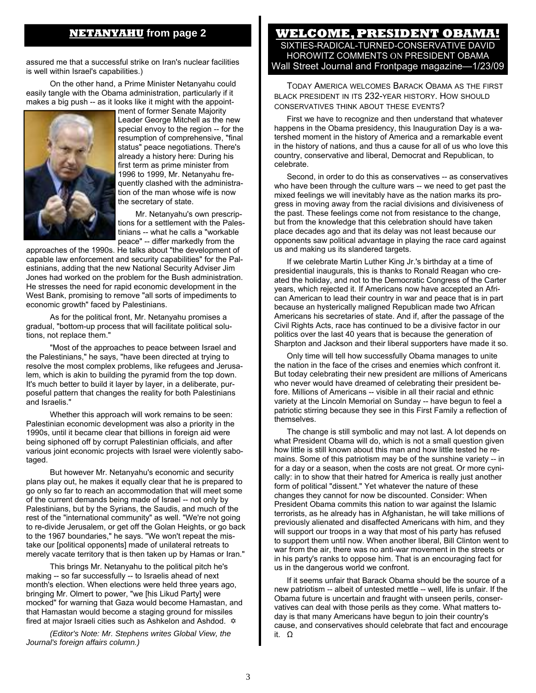#### **NETANYAHU from page 2**

assured me that a successful strike on Iran's nuclear facilities is well within Israel's capabilities.)

 On the other hand, a Prime Minister Netanyahu could easily tangle with the Obama administration, particularly if it makes a big push -- as it looks like it might with the appoint-



ment of former Senate Majority Leader George Mitchell as the new special envoy to the region -- for the resumption of comprehensive, "final status" peace negotiations. There's already a history here: During his first term as prime minister from 1996 to 1999, Mr. Netanyahu frequently clashed with the administration of the man whose wife is now the secretary of state.

 Mr. Netanyahu's own prescriptions for a settlement with the Palestinians -- what he calls a "workable peace" -- differ markedly from the

approaches of the 1990s. He talks about "the development of capable law enforcement and security capabilities" for the Palestinians, adding that the new National Security Adviser Jim Jones had worked on the problem for the Bush administration. He stresses the need for rapid economic development in the West Bank, promising to remove "all sorts of impediments to economic growth" faced by Palestinians.

 As for the political front, Mr. Netanyahu promises a gradual, "bottom-up process that will facilitate political solutions, not replace them."

 "Most of the approaches to peace between Israel and the Palestinians," he says, "have been directed at trying to resolve the most complex problems, like refugees and Jerusalem, which is akin to building the pyramid from the top down. It's much better to build it layer by layer, in a deliberate, purposeful pattern that changes the reality for both Palestinians and Israelis."

 Whether this approach will work remains to be seen: Palestinian economic development was also a priority in the 1990s, until it became clear that billions in foreign aid were being siphoned off by corrupt Palestinian officials, and after various joint economic projects with Israel were violently sabotaged.

 But however Mr. Netanyahu's economic and security plans play out, he makes it equally clear that he is prepared to go only so far to reach an accommodation that will meet some of the current demands being made of Israel -- not only by Palestinians, but by the Syrians, the Saudis, and much of the rest of the "international community" as well. "We're not going to re-divide Jerusalem, or get off the Golan Heights, or go back to the 1967 boundaries," he says. "We won't repeat the mistake our [political opponents] made of unilateral retreats to merely vacate territory that is then taken up by Hamas or Iran."

 This brings Mr. Netanyahu to the political pitch he's making -- so far successfully -- to Israelis ahead of next month's election. When elections were held three years ago, bringing Mr. Olmert to power, "we [his Likud Party] were mocked" for warning that Gaza would become Hamastan, and that Hamastan would become a staging ground for missiles fired at major Israeli cities such as Ashkelon and Ashdod.  $\Leftrightarrow$ 

 *(Editor's Note: Mr. Stephens writes Global View, the Journal's foreign affairs column.)* 

#### WELCOME. PRESIDENT OBAI

SIXTIES-RADICAL-TURNED-CONSERVATIVE DAVID HOROWITZ COMMENTS ON PRESIDENT OBAMA Wall Street Journal and Frontpage magazine—1/23/09

TODAY AMERICA WELCOMES BARACK OBAMA AS THE FIRST BLACK PRESIDENT IN ITS 232-YEAR HISTORY. HOW SHOULD CONSERVATIVES THINK ABOUT THESE EVENTS?

First we have to recognize and then understand that whatever happens in the Obama presidency, this Inauguration Day is a watershed moment in the history of America and a remarkable event in the history of nations, and thus a cause for all of us who love this country, conservative and liberal, Democrat and Republican, to celebrate.

Second, in order to do this as conservatives -- as conservatives who have been through the culture wars -- we need to get past the mixed feelings we will inevitably have as the nation marks its progress in moving away from the racial divisions and divisiveness of the past. These feelings come not from resistance to the change, but from the knowledge that this celebration should have taken place decades ago and that its delay was not least because our opponents saw political advantage in playing the race card against us and making us its slandered targets.

If we celebrate Martin Luther King Jr.'s birthday at a time of presidential inaugurals, this is thanks to Ronald Reagan who created the holiday, and not to the Democratic Congress of the Carter years, which rejected it. If Americans now have accepted an African American to lead their country in war and peace that is in part because an hysterically maligned Republican made two African Americans his secretaries of state. And if, after the passage of the Civil Rights Acts, race has continued to be a divisive factor in our politics over the last 40 years that is because the generation of Sharpton and Jackson and their liberal supporters have made it so.

Only time will tell how successfully Obama manages to unite the nation in the face of the crises and enemies which confront it. But today celebrating their new president are millions of Americans who never would have dreamed of celebrating their president before. Millions of Americans -- visible in all their racial and ethnic variety at the Lincoln Memorial on Sunday -- have begun to feel a patriotic stirring because they see in this First Family a reflection of themselves.

The change is still symbolic and may not last. A lot depends on what President Obama will do, which is not a small question given how little is still known about this man and how little tested he remains. Some of this patriotism may be of the sunshine variety -- in for a day or a season, when the costs are not great. Or more cynically: in to show that their hatred for America is really just another form of political "dissent." Yet whatever the nature of these changes they cannot for now be discounted. Consider: When President Obama commits this nation to war against the Islamic terrorists, as he already has in Afghanistan, he will take millions of previously alienated and disaffected Americans with him, and they will support our troops in a way that most of his party has refused to support them until now. When another liberal, Bill Clinton went to war from the air, there was no anti-war movement in the streets or in his party's ranks to oppose him. That is an encouraging fact for us in the dangerous world we confront.

If it seems unfair that Barack Obama should be the source of a new patriotism -- albeit of untested mettle -- well, life is unfair. If the Obama future is uncertain and fraught with unseen perils, conservatives can deal with those perils as they come. What matters today is that many Americans have begun to join their country's cause, and conservatives should celebrate that fact and encourage it. Ω